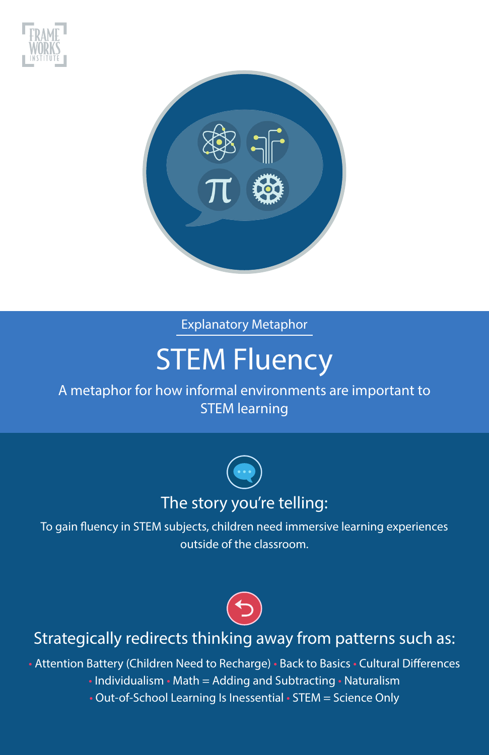



# STEM Fluency

#### A metaphor for how informal environments are important to STEM learning



To gain fluency in STEM subjects, children need immersive learning experiences outside of the classroom.



## Strategically redirects thinking away from patterns such as:

• Attention Battery (Children Need to Recharge) • Back to Basics • Cultural Differences

- Individualism Math = Adding and Subtracting Naturalism
- Out-of-School Learning Is Inessential STEM = Science Only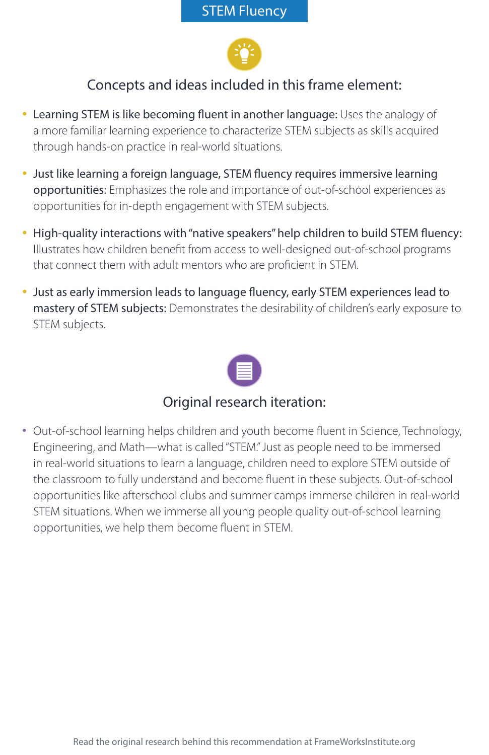

- Learning STEM is like becoming fluent in another language: Uses the analogy of a more familiar learning experience to characterize STEM subjects as skills acquired through hands-on practice in real-world situations.
- Just like learning a foreign language, STEM fluency requires immersive learning opportunities: Emphasizes the role and importance of out-of-school experiences as opportunities for in-depth engagement with STEM subjects.
- High-quality interactions with "native speakers" help children to build STEM fluency: Illustrates how children benefit from access to well-designed out-of-school programs that connect them with adult mentors who are proficient in STEM.
- Just as early immersion leads to language fluency, early STEM experiences lead to mastery of STEM subjects: Demonstrates the desirability of children's early exposure to STEM subjects.



#### Original research iteration:

• Out-of-school learning helps children and youth become fluent in Science, Technology, Engineering, and Math—what is called "STEM." Just as people need to be immersed in real-world situations to learn a language, children need to explore STEM outside of the classroom to fully understand and become fluent in these subjects. Out-of-school opportunities like afterschool clubs and summer camps immerse children in real-world STEM situations. When we immerse all young people quality out-of-school learning opportunities, we help them become fluent in STEM.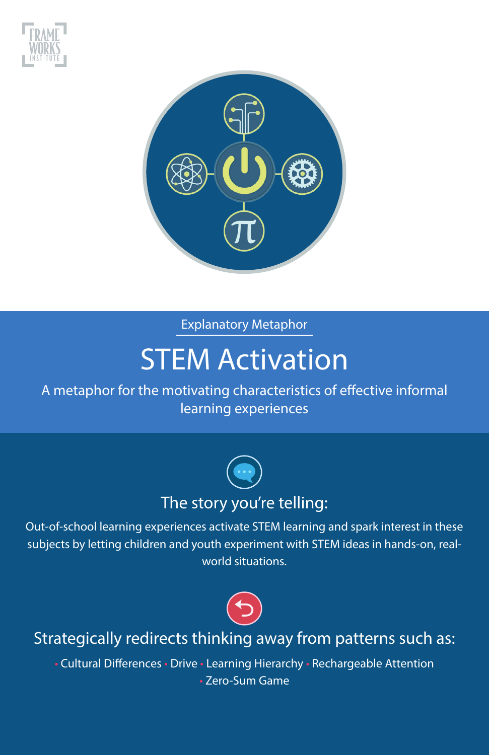



## **STEM Activation**

A metaphor for the motivating characteristics of effective informal learning experiences



Out-of-school learning experiences activate STEM learning and spark interest in these subjects by letting children and youth experiment with STEM ideas in hands-on, realworld situations.



## Strategically redirects thinking away from patterns such as:

• Cultural Differences • Drive • Learning Hierarchy • Rechargeable Attention • Zero-Sum Game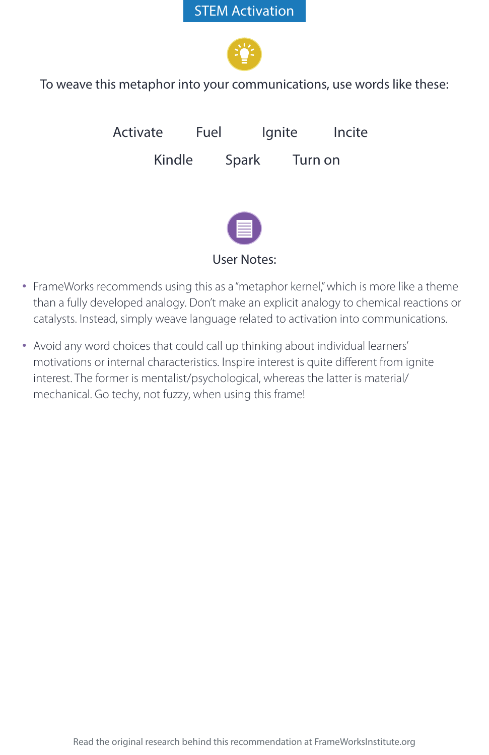#### STEM Activation



To weave this metaphor into your communications, use words like these:



User Notes:

- FrameWorks recommends using this as a "metaphor kernel," which is more like a theme than a fully developed analogy. Don't make an explicit analogy to chemical reactions or catalysts. Instead, simply weave language related to activation into communications.
- Avoid any word choices that could call up thinking about individual learners' motivations or internal characteristics. Inspire interest is quite different from ignite interest. The former is mentalist/psychological, whereas the latter is material/ mechanical. Go techy, not fuzzy, when using this frame!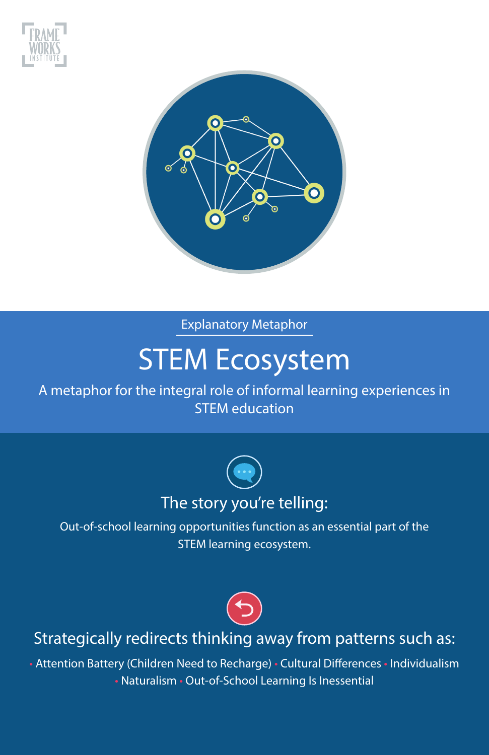



## STEM Ecosystem

A metaphor for the integral role of informal learning experiences in STEM education



Out-of-school learning opportunities function as an essential part of the STEM learning ecosystem.



### Strategically redirects thinking away from patterns such as:

• Attention Battery (Children Need to Recharge) • Cultural Differences • Individualism • Naturalism • Out-of-School Learning Is Inessential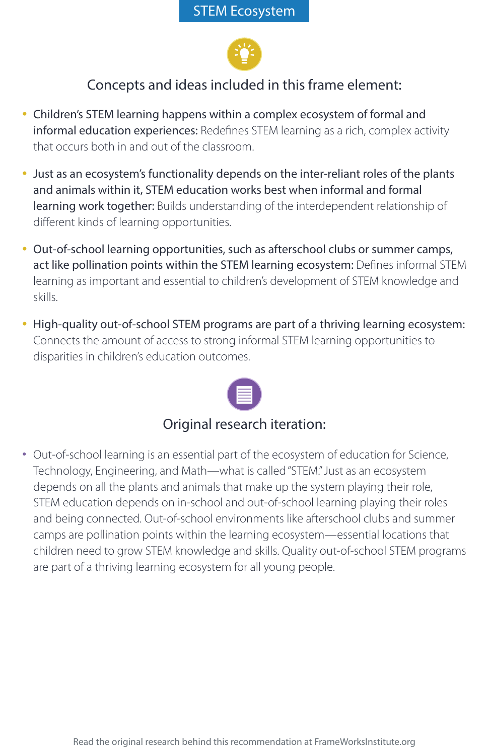

- Children's STEM learning happens within a complex ecosystem of formal and informal education experiences: Redefines STEM learning as a rich, complex activity that occurs both in and out of the classroom.
- Just as an ecosystem's functionality depends on the inter-reliant roles of the plants and animals within it, STEM education works best when informal and formal learning work together: Builds understanding of the interdependent relationship of different kinds of learning opportunities.
- Out-of-school learning opportunities, such as afterschool clubs or summer camps, act like pollination points within the STEM learning ecosystem: Defines informal STEM learning as important and essential to children's development of STEM knowledge and skills.
- High-quality out-of-school STEM programs are part of a thriving learning ecosystem: Connects the amount of access to strong informal STEM learning opportunities to disparities in children's education outcomes.



## Original research iteration:

• Out-of-school learning is an essential part of the ecosystem of education for Science, Technology, Engineering, and Math—what is called "STEM." Just as an ecosystem depends on all the plants and animals that make up the system playing their role, STEM education depends on in-school and out-of-school learning playing their roles and being connected. Out-of-school environments like afterschool clubs and summer camps are pollination points within the learning ecosystem—essential locations that children need to grow STEM knowledge and skills. Quality out-of-school STEM programs are part of a thriving learning ecosystem for all young people.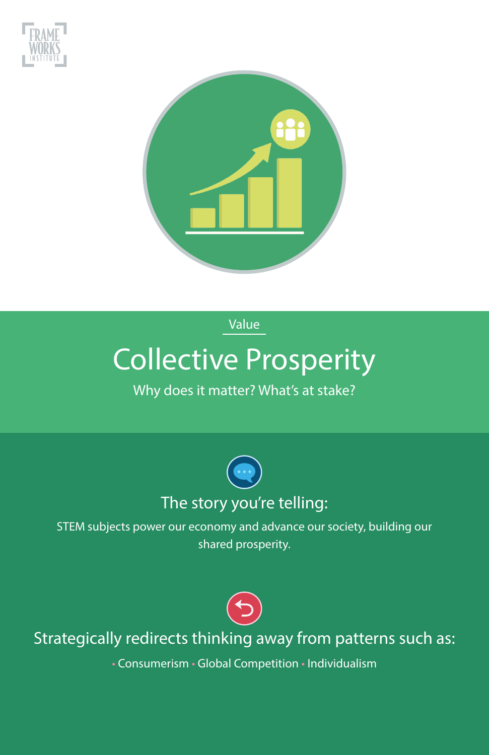



Value

## Collective Prosperity

### Why does it matter? What's at stake?



STEM subjects power our economy and advance our society, building our shared prosperity.



## Strategically redirects thinking away from patterns such as:

• Consumerism • Global Competition • Individualism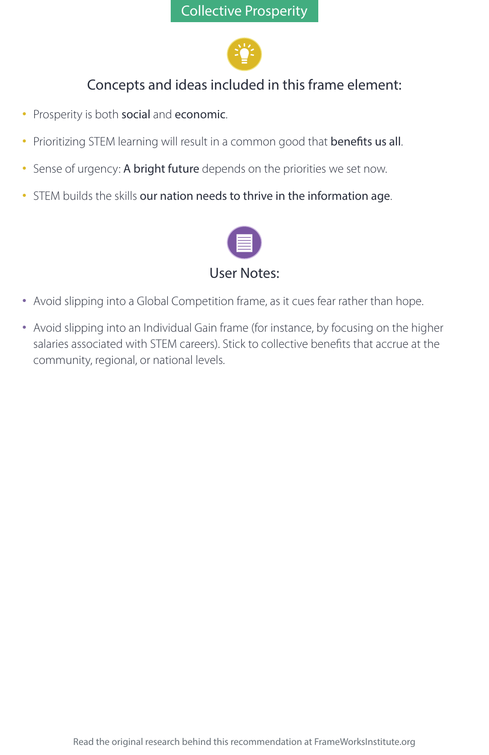

- Prosperity is both social and economic.
- Prioritizing STEM learning will result in a common good that benefits us all.
- Sense of urgency: A bright future depends on the priorities we set now.
- STEM builds the skills our nation needs to thrive in the information age.



- Avoid slipping into a Global Competition frame, as it cues fear rather than hope.
- Avoid slipping into an Individual Gain frame (for instance, by focusing on the higher salaries associated with STEM careers). Stick to collective benefits that accrue at the community, regional, or national levels.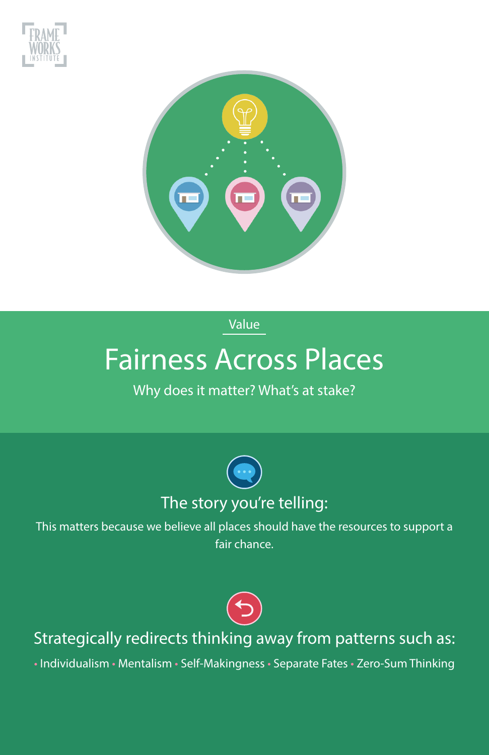



Value

## Fairness Across Places

#### Why does it matter? What's at stake?



This matters because we believe all places should have the resources to support a fair chance.



## Strategically redirects thinking away from patterns such as:

• Individualism • Mentalism • Self-Makingness • Separate Fates • Zero-Sum Thinking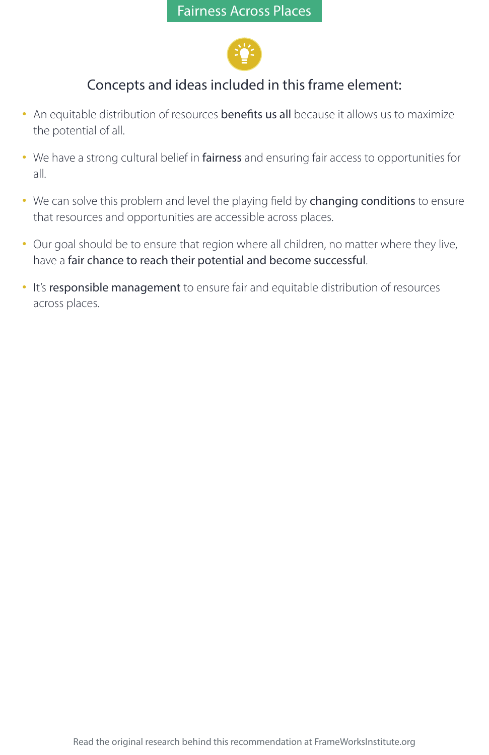

- An equitable distribution of resources benefits us all because it allows us to maximize the potential of all.
- We have a strong cultural belief in fairness and ensuring fair access to opportunities for all.
- We can solve this problem and level the playing field by changing conditions to ensure that resources and opportunities are accessible across places.
- Our goal should be to ensure that region where all children, no matter where they live, have a fair chance to reach their potential and become successful.
- It's responsible management to ensure fair and equitable distribution of resources across places.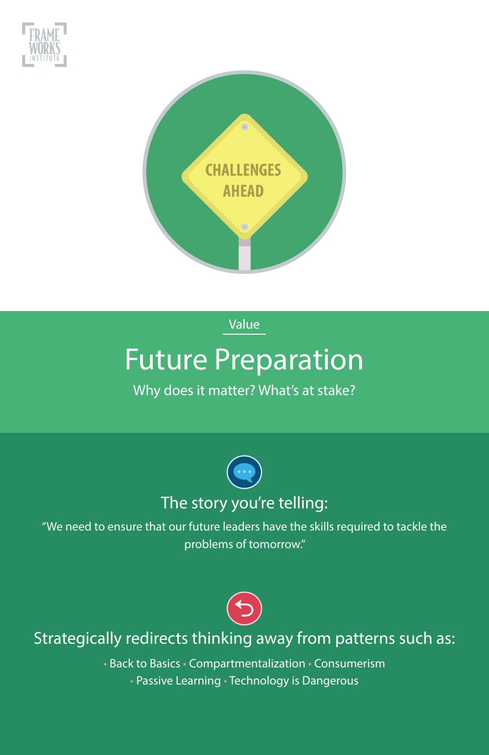



Value

## Future Preparation

### Why does it matter? What's at stake?



"We need to ensure that our future leaders have the skills required to tackle the problems of tomorrow."



## Strategically redirects thinking away from patterns such as:

• Back to Basics • Compartmentalization • Consumerism

• Passive Learning • Technology is Dangerous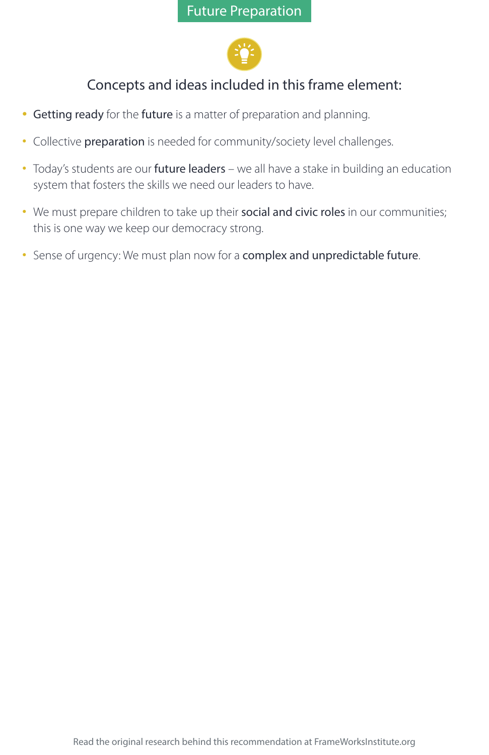

- Getting ready for the future is a matter of preparation and planning.
- Collective preparation is needed for community/society level challenges.
- Today's students are our future leaders we all have a stake in building an education system that fosters the skills we need our leaders to have.
- We must prepare children to take up their social and civic roles in our communities; this is one way we keep our democracy strong.
- Sense of urgency: We must plan now for a complex and unpredictable future.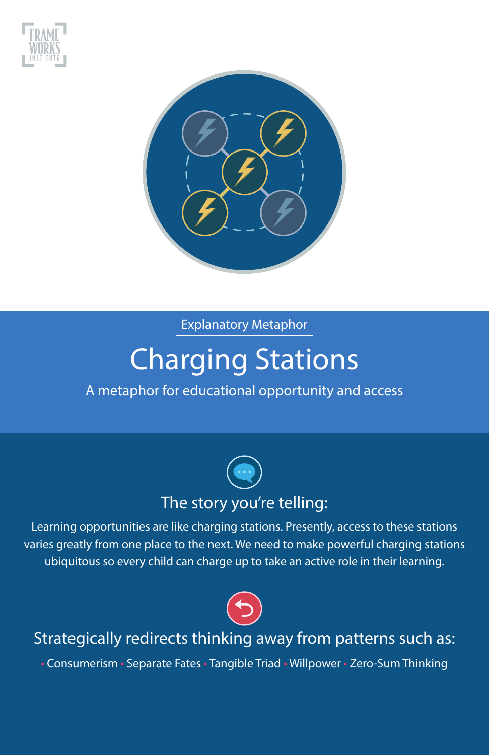



# Charging Stations

#### A metaphor for educational opportunity and access



Learning opportunities are like charging stations. Presently, access to these stations varies greatly from one place to the next. We need to make powerful charging stations ubiquitous so every child can charge up to take an active role in their learning.



## Strategically redirects thinking away from patterns such as:

• Consumerism • Separate Fates • Tangible Triad • Willpower • Zero-Sum Thinking